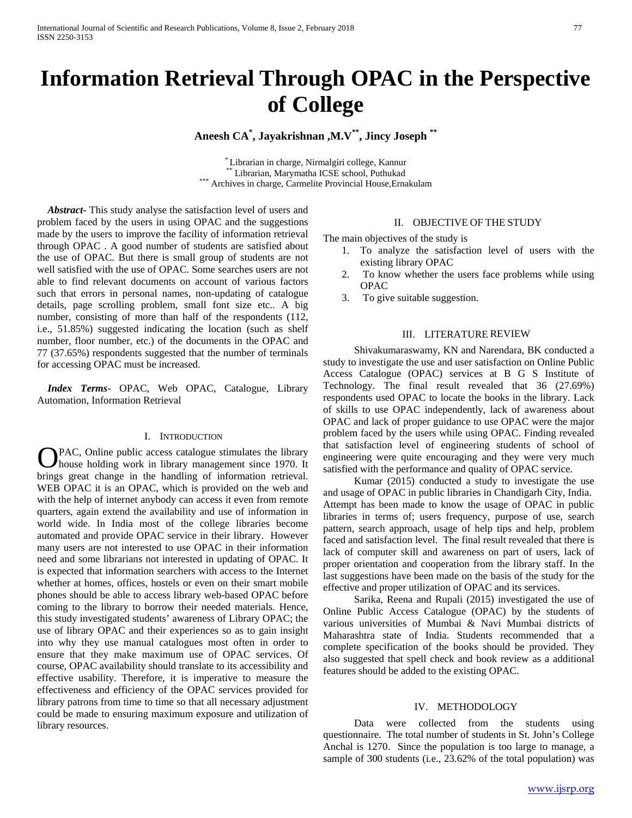# **Information Retrieval Through OPAC in the Perspective of College**

**Aneesh CA\* , Jayakrishnan ,M.V\*\*, Jincy Joseph \*\***

\* Librarian in charge, Nirmalgiri college, Kannur \*\* Librarian, Marymatha ICSE school, Puthukad \*\*\* Archives in charge, Carmelite Provincial House,Ernakulam

 *Abstract***-** This study analyse the satisfaction level of users and problem faced by the users in using OPAC and the suggestions made by the users to improve the facility of information retrieval through OPAC . A good number of students are satisfied about the use of OPAC. But there is small group of students are not well satisfied with the use of OPAC. Some searches users are not able to find relevant documents on account of various factors such that errors in personal names, non-updating of catalogue details, page scrolling problem, small font size etc.. A big number, consisting of more than half of the respondents (112, i.e., 51.85%) suggested indicating the location (such as shelf number, floor number, etc.) of the documents in the OPAC and 77 (37.65%) respondents suggested that the number of terminals for accessing OPAC must be increased.

 *Index Terms*- OPAC, Web OPAC, Catalogue, Library Automation, Information Retrieval

#### I. INTRODUCTION

PAC, Online public access catalogue stimulates the library house holding work in library management since 1970. It **O**PAC, Online public access catalogue stimulates the library house holding work in library management since 1970. It brings great change in the handling of information retrieval. WEB OPAC it is an OPAC, which is provided on the web and with the help of internet anybody can access it even from remote quarters, again extend the availability and use of information in world wide. In India most of the college libraries become automated and provide OPAC service in their library. However many users are not interested to use OPAC in their information need and some librarians not interested in updating of OPAC. It is expected that information searchers with access to the Internet whether at homes, offices, hostels or even on their smart mobile phones should be able to access library web-based OPAC before coming to the library to borrow their needed materials. Hence, this study investigated students' awareness of Library OPAC; the use of library OPAC and their experiences so as to gain insight into why they use manual catalogues most often in order to ensure that they make maximum use of OPAC services. Of course, OPAC availability should translate to its accessibility and effective usability. Therefore, it is imperative to measure the effectiveness and efficiency of the OPAC services provided for library patrons from time to time so that all necessary adjustment could be made to ensuring maximum exposure and utilization of library resources.

## II. OBJECTIVE OF THE STUDY

The main objectives of the study is

- 1. To analyze the satisfaction level of users with the existing library OPAC
- 2. To know whether the users face problems while using OPAC
- 3. To give suitable suggestion.

#### III. LITERATURE REVIEW

 Shivakumaraswamy, KN and Narendara, BK conducted a study to investigate the use and user satisfaction on Online Public Access Catalogue (OPAC) services at B G S Institute of Technology. The final result revealed that 36 (27.69%) respondents used OPAC to locate the books in the library. Lack of skills to use OPAC independently, lack of awareness about OPAC and lack of proper guidance to use OPAC were the major problem faced by the users while using OPAC. Finding revealed that satisfaction level of engineering students of school of engineering were quite encouraging and they were very much satisfied with the performance and quality of OPAC service.

 Kumar (2015) conducted a study to investigate the use and usage of OPAC in public libraries in Chandigarh City, India. Attempt has been made to know the usage of OPAC in public libraries in terms of; users frequency, purpose of use, search pattern, search approach, usage of help tips and help, problem faced and satisfaction level. The final result revealed that there is lack of computer skill and awareness on part of users, lack of proper orientation and cooperation from the library staff. In the last suggestions have been made on the basis of the study for the effective and proper utilization of OPAC and its services.

 Sarika, Reena and Rupali (2015) investigated the use of Online Public Access Catalogue (OPAC) by the students of various universities of Mumbai & Navi Mumbai districts of Maharashtra state of India. Students recommended that a complete specification of the books should be provided. They also suggested that spell check and book review as a additional features should be added to the existing OPAC.

#### IV. METHODOLOGY

 Data were collected from the students using questionnaire. The total number of students in St. John's College Anchal is 1270. Since the population is too large to manage, a sample of 300 students (i.e., 23.62% of the total population) was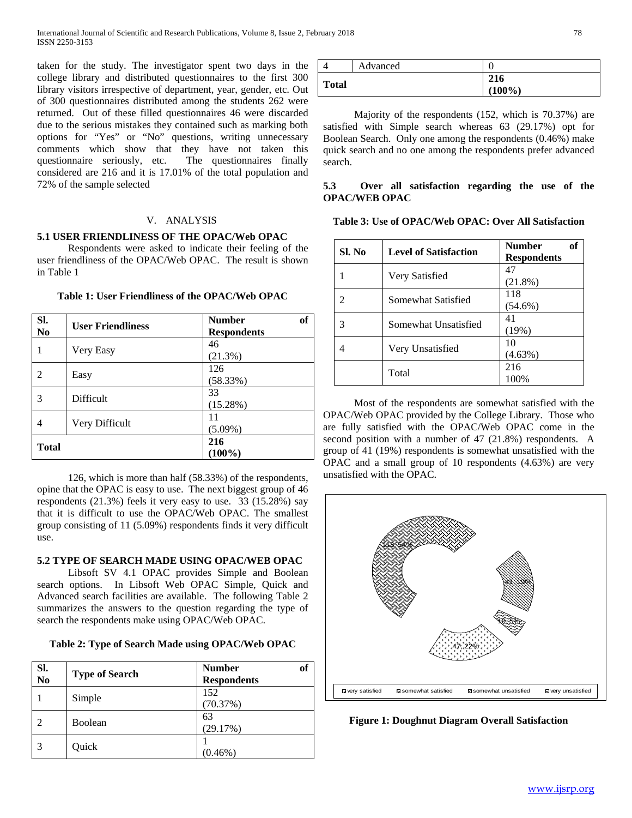taken for the study. The investigator spent two days in the college library and distributed questionnaires to the first 300 library visitors irrespective of department, year, gender, etc. Out of 300 questionnaires distributed among the students 262 were returned. Out of these filled questionnaires 46 were discarded due to the serious mistakes they contained such as marking both options for "Yes" or "No" questions, writing unnecessary comments which show that they have not taken this questionnaire seriously, etc. The questionnaires finally considered are 216 and it is 17.01% of the total population and 72% of the sample selected

## V. ANALYSIS

## **5.1 USER FRIENDLINESS OF THE OPAC/Web OPAC**

 Respondents were asked to indicate their feeling of the user friendliness of the OPAC/Web OPAC. The result is shown in Table 1

| SI.<br>No.   | <b>User Friendliness</b> | <sub>of</sub><br><b>Number</b><br><b>Respondents</b> |
|--------------|--------------------------|------------------------------------------------------|
|              | Very Easy                | 46<br>(21.3%)                                        |
| 2            | Easy                     | 126<br>(58.33%)                                      |
| 3            | <b>Difficult</b>         | 33<br>(15.28%)                                       |
| 4            | Very Difficult           | 11<br>$(5.09\%)$                                     |
| <b>Total</b> |                          | 216<br>$(100\%)$                                     |

## **Table 1: User Friendliness of the OPAC/Web OPAC**

 126, which is more than half (58.33%) of the respondents, opine that the OPAC is easy to use. The next biggest group of 46 respondents (21.3%) feels it very easy to use. 33 (15.28%) say that it is difficult to use the OPAC/Web OPAC. The smallest group consisting of 11 (5.09%) respondents finds it very difficult use.

## **5.2 TYPE OF SEARCH MADE USING OPAC/WEB OPAC**

 Libsoft SV 4.1 OPAC provides Simple and Boolean search options. In Libsoft Web OPAC Simple, Quick and Advanced search facilities are available. The following Table 2 summarizes the answers to the question regarding the type of search the respondents make using OPAC/Web OPAC.

| Table 2: Type of Search Made using OPAC/Web OPAC |  |  |  |  |
|--------------------------------------------------|--|--|--|--|
|                                                  |  |  |  |  |

| SI.<br>N <sub>0</sub> | <b>Type of Search</b> | of<br><b>Number</b><br><b>Respondents</b> |
|-----------------------|-----------------------|-------------------------------------------|
|                       | Simple                | 152<br>(70.37%)                           |
|                       | Boolean               | 63<br>(29.17%)                            |
|                       | Quick                 | $(0.46\%)$                                |

|              | Advanced |                  |
|--------------|----------|------------------|
| <b>Total</b> |          | 216<br>$(100\%)$ |

 Majority of the respondents (152, which is 70.37%) are satisfied with Simple search whereas 63 (29.17%) opt for Boolean Search. Only one among the respondents (0.46%) make quick search and no one among the respondents prefer advanced search.

## **5.3 Over all satisfaction regarding the use of the OPAC/WEB OPAC**

| Sl. No | <b>Level of Satisfaction</b> | of<br><b>Number</b><br><b>Respondents</b> |
|--------|------------------------------|-------------------------------------------|
|        | Very Satisfied               | 47<br>$(21.8\%)$                          |
|        | Somewhat Satisfied           | 118<br>$(54.6\%)$                         |
|        | Somewhat Unsatisfied         | 41<br>(19%)                               |
|        | Very Unsatisfied             | 10<br>$(4.63\%)$                          |
|        | Total                        | 216<br>100%                               |

 Most of the respondents are somewhat satisfied with the OPAC/Web OPAC provided by the College Library. Those who are fully satisfied with the OPAC/Web OPAC come in the second position with a number of 47 (21.8%) respondents. A group of 41 (19%) respondents is somewhat unsatisfied with the OPAC and a small group of 10 respondents (4.63%) are very unsatisfied with the OPAC.



**Figure 1: Doughnut Diagram Overall Satisfaction**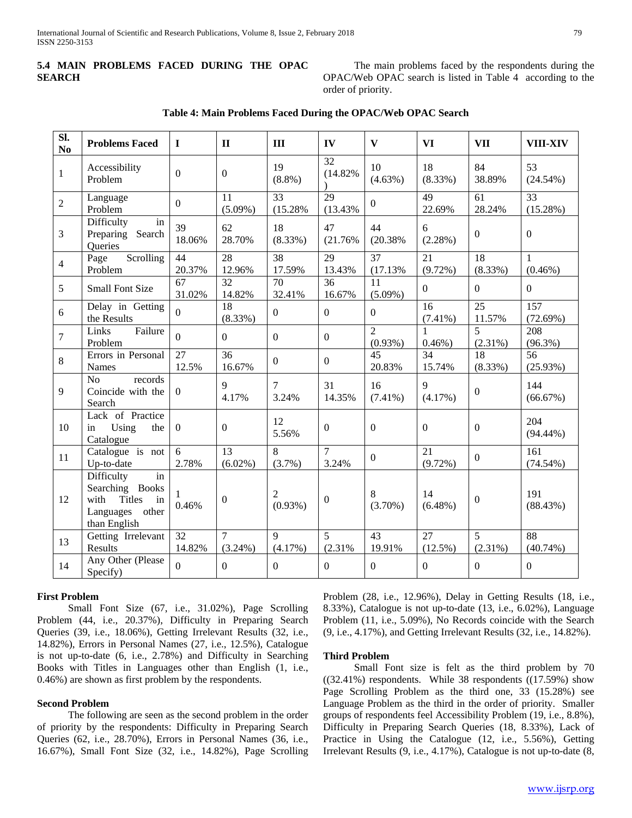## **5.4 MAIN PROBLEMS FACED DURING THE OPAC SEARCH**

 The main problems faced by the respondents during the OPAC/Web OPAC search is listed in Table 4 according to the order of priority.

| SI.<br>No       | <b>Problems Faced</b>                                                                                 | $\bf{I}$     | $\mathbf{I}$                 | III                          | IV                      | $\mathbf{V}$                 | <b>VI</b>        | <b>VII</b>       | <b>VIII-XIV</b>             |
|-----------------|-------------------------------------------------------------------------------------------------------|--------------|------------------------------|------------------------------|-------------------------|------------------------------|------------------|------------------|-----------------------------|
| $\mathbf{1}$    | Accessibility<br>Problem                                                                              | $\mathbf{0}$ | $\mathbf{0}$                 | 19<br>$(8.8\%)$              | 32<br>(14.82%           | 10<br>$(4.63\%)$             | 18<br>$(8.33\%)$ | 84<br>38.89%     | 53<br>$(24.54\%)$           |
| 2               | Language<br>Problem                                                                                   | $\Omega$     | 11<br>$(5.09\%)$             | $\overline{33}$<br>(15.28%   | 29<br>(13.43%           | $\Omega$                     | 49<br>22.69%     | 61<br>28.24%     | $\overline{33}$<br>(15.28%) |
| $\mathfrak{Z}$  | Difficulty<br>in<br>Preparing Search<br>Queries                                                       | 39<br>18.06% | 62<br>28.70%                 | 18<br>$(8.33\%)$             | 47<br>(21.76%           | 44<br>(20.38%                | 6<br>(2.28%)     | $\boldsymbol{0}$ | $\boldsymbol{0}$            |
| $\overline{4}$  | Scrolling<br>Page<br>Problem                                                                          | 44<br>20.37% | 28<br>12.96%                 | 38<br>17.59%                 | 29<br>13.43%            | $\overline{37}$<br>(17.13%   | 21<br>$(9.72\%)$ | 18<br>$(8.33\%)$ | $\mathbf{1}$<br>$(0.46\%)$  |
| 5               | <b>Small Font Size</b>                                                                                | 67<br>31.02% | 32<br>14.82%                 | 70<br>32.41%                 | 36<br>16.67%            | 11<br>$(5.09\%)$             | $\overline{0}$   | $\overline{0}$   | $\boldsymbol{0}$            |
| 6               | Delay in Getting<br>the Results                                                                       | $\Omega$     | 18<br>(8.33%)                | $\boldsymbol{0}$             | $\boldsymbol{0}$        | $\overline{0}$               | 16<br>$(7.41\%)$ | 25<br>11.57%     | 157<br>(72.69%)             |
| $\overline{7}$  | Links<br>Failure<br>Problem                                                                           | $\Omega$     | $\mathbf{0}$                 | $\mathbf{0}$                 | $\boldsymbol{0}$        | $\overline{2}$<br>$(0.93\%)$ | 1<br>$0.46%$ )   | 5<br>$(2.31\%)$  | 208<br>$(96.3\%)$           |
| $8\phantom{.0}$ | Errors in Personal<br><b>Names</b>                                                                    | 27<br>12.5%  | 36<br>16.67%                 | $\boldsymbol{0}$             | $\boldsymbol{0}$        | 45<br>20.83%                 | 34<br>15.74%     | 18<br>(8.33%)    | 56<br>(25.93%)              |
| 9               | No<br>records<br>Coincide with the<br>Search                                                          | $\Omega$     | 9<br>4.17%                   | $\tau$<br>3.24%              | 31<br>14.35%            | 16<br>$(7.41\%)$             | 9<br>(4.17%)     | $\boldsymbol{0}$ | 144<br>(66.67%)             |
| 10              | Lack of Practice<br>Using<br>the<br>in<br>Catalogue                                                   | $\theta$     | $\boldsymbol{0}$             | 12<br>5.56%                  | $\boldsymbol{0}$        | $\overline{0}$               | $\boldsymbol{0}$ | $\boldsymbol{0}$ | 204<br>$(94.44\%)$          |
| 11              | Catalogue is not<br>Up-to-date                                                                        | 6<br>2.78%   | 13<br>$(6.02\%)$             | 8<br>$(3.7\%)$               | $\overline{7}$<br>3.24% | $\mathbf{0}$                 | 21<br>$(9.72\%)$ | $\boldsymbol{0}$ | 161<br>(74.54%)             |
| 12              | Difficulty<br>in<br>Searching Books<br>with<br><b>Titles</b><br>in<br>Languages other<br>than English | 1<br>0.46%   | $\boldsymbol{0}$             | $\overline{2}$<br>$(0.93\%)$ | $\mathbf{0}$            | 8<br>$(3.70\%)$              | 14<br>$(6.48\%)$ | $\boldsymbol{0}$ | 191<br>(88.43%)             |
| 13              | Getting Irrelevant<br>Results                                                                         | 32<br>14.82% | $\overline{7}$<br>$(3.24\%)$ | $\mathbf{Q}$<br>$(4.17\%)$   | 5<br>(2.31%             | 43<br>19.91%                 | 27<br>$(12.5\%)$ | 5<br>$(2.31\%)$  | 88<br>(40.74%)              |
| 14              | Any Other (Please<br>Specify)                                                                         | $\Omega$     | $\overline{0}$               | $\mathbf{0}$                 | $\mathbf{0}$            | $\mathbf{0}$                 | $\overline{0}$   | $\boldsymbol{0}$ | $\boldsymbol{0}$            |

### **Table 4: Main Problems Faced During the OPAC/Web OPAC Search**

## **First Problem**

 Small Font Size (67, i.e., 31.02%), Page Scrolling Problem (44, i.e., 20.37%), Difficulty in Preparing Search Queries (39, i.e., 18.06%), Getting Irrelevant Results (32, i.e., 14.82%), Errors in Personal Names (27, i.e., 12.5%), Catalogue is not up-to-date (6, i.e., 2.78%) and Difficulty in Searching Books with Titles in Languages other than English (1, i.e., 0.46%) are shown as first problem by the respondents.

## **Second Problem**

 The following are seen as the second problem in the order of priority by the respondents: Difficulty in Preparing Search Queries (62, i.e., 28.70%), Errors in Personal Names (36, i.e., 16.67%), Small Font Size (32, i.e., 14.82%), Page Scrolling Problem (28, i.e., 12.96%), Delay in Getting Results (18, i.e., 8.33%), Catalogue is not up-to-date (13, i.e., 6.02%), Language Problem (11, i.e., 5.09%), No Records coincide with the Search (9, i.e., 4.17%), and Getting Irrelevant Results (32, i.e., 14.82%).

#### **Third Problem**

 Small Font size is felt as the third problem by 70  $((32.41\%)$  respondents. While 38 respondents  $((17.59\%)$  show Page Scrolling Problem as the third one, 33 (15.28%) see Language Problem as the third in the order of priority. Smaller groups of respondents feel Accessibility Problem (19, i.e., 8.8%), Difficulty in Preparing Search Queries (18, 8.33%), Lack of Practice in Using the Catalogue (12, i.e., 5.56%), Getting Irrelevant Results (9, i.e., 4.17%), Catalogue is not up-to-date (8,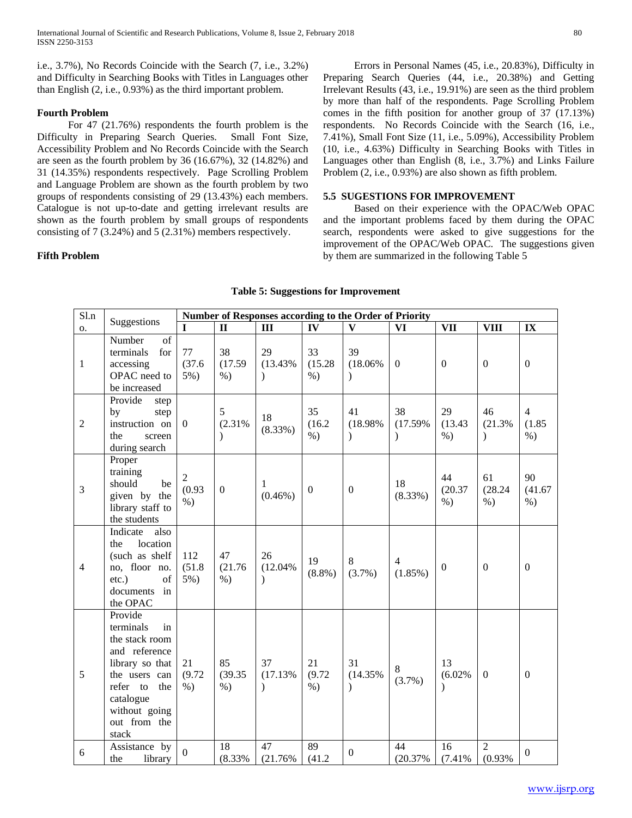i.e., 3.7%), No Records Coincide with the Search (7, i.e., 3.2%) and Difficulty in Searching Books with Titles in Languages other than English (2, i.e., 0.93%) as the third important problem.

## **Fourth Problem**

 For 47 (21.76%) respondents the fourth problem is the Difficulty in Preparing Search Queries. Small Font Size, Accessibility Problem and No Records Coincide with the Search are seen as the fourth problem by 36 (16.67%), 32 (14.82%) and 31 (14.35%) respondents respectively. Page Scrolling Problem and Language Problem are shown as the fourth problem by two groups of respondents consisting of 29 (13.43%) each members. Catalogue is not up-to-date and getting irrelevant results are shown as the fourth problem by small groups of respondents consisting of 7 (3.24%) and 5 (2.31%) members respectively.

## **Fifth Problem**

 Errors in Personal Names (45, i.e., 20.83%), Difficulty in Preparing Search Queries (44, i.e., 20.38%) and Getting Irrelevant Results (43, i.e., 19.91%) are seen as the third problem by more than half of the respondents. Page Scrolling Problem comes in the fifth position for another group of 37 (17.13%) respondents. No Records Coincide with the Search (16, i.e., 7.41%), Small Font Size (11, i.e., 5.09%), Accessibility Problem (10, i.e., 4.63%) Difficulty in Searching Books with Titles in Languages other than English (8, i.e., 3.7%) and Links Failure Problem (2, i.e., 0.93%) are also shown as fifth problem.

## **5.5 SUGESTIONS FOR IMPROVEMENT**

 Based on their experience with the OPAC/Web OPAC and the important problems faced by them during the OPAC search, respondents were asked to give suggestions for the improvement of the OPAC/Web OPAC. The suggestions given by them are summarized in the following Table 5

| S1.n           | Suggestions                                                                                                                                                                 | Number of Responses according to the Order of Priority |                          |                                |                        |                                |                                |                               |                           |                                   |
|----------------|-----------------------------------------------------------------------------------------------------------------------------------------------------------------------------|--------------------------------------------------------|--------------------------|--------------------------------|------------------------|--------------------------------|--------------------------------|-------------------------------|---------------------------|-----------------------------------|
| <b>O.</b>      |                                                                                                                                                                             |                                                        | $\mathbf{I}$             | III                            | IV                     | $\overline{\mathbf{V}}$        | VI                             | <b>VII</b>                    | <b>VIII</b>               | IX                                |
| $\mathbf{1}$   | Number<br>of<br>terminals<br>for<br>accessing<br>OPAC need to<br>be increased                                                                                               | 77<br>(37.6)<br>5%)                                    | 38<br>(17.59)<br>$%$ )   | 29<br>(13.43%<br>$\lambda$     | 33<br>(15.28)<br>$%$ ) | 39<br>$(18.06\%$<br>$\lambda$  | $\mathbf{0}$                   | $\boldsymbol{0}$              | $\boldsymbol{0}$          | $\boldsymbol{0}$                  |
| $\overline{2}$ | Provide<br>step<br>step<br>by<br>instruction on<br>the<br>screen<br>during search                                                                                           | $\Omega$                                               | 5<br>(2.31%<br>$\lambda$ | 18<br>(8.33%)                  | 35<br>(16.2)<br>$\%$ ) | 41<br>(18.98%<br>$\lambda$     | 38<br>(17.59%<br>$\mathcal{L}$ | 29<br>(13.43)<br>$%$ )        | 46<br>(21.3%<br>$\lambda$ | $\overline{4}$<br>(1.85)<br>$%$ ) |
| 3              | Proper<br>training<br>should<br>be<br>given by the<br>library staff to<br>the students                                                                                      | $\overline{2}$<br>(0.93)<br>$%$ )                      | $\boldsymbol{0}$         | 1<br>$(0.46\%)$                | $\mathbf{0}$           | $\boldsymbol{0}$               | 18<br>(8.33%)                  | 44<br>(20.37)<br>$%$ )        | 61<br>(28.24)<br>$%$ )    | 90<br>(41.67)<br>$%$ )            |
| $\overline{4}$ | Indicate<br>also<br>location<br>the<br>(such as shelf<br>no, floor no.<br>$etc.$ )<br>of<br>documents<br>in<br>the OPAC                                                     | 112<br>(51.8)<br>5%)                                   | 47<br>(21.76)<br>$%$ )   | 26<br>(12.04%<br>$\lambda$     | 19<br>$(8.8\%)$        | 8<br>$(3.7\%)$                 | $\overline{4}$<br>$(1.85\%)$   | $\boldsymbol{0}$              | $\overline{0}$            | $\mathbf{0}$                      |
| 5              | Provide<br>terminals<br>in<br>the stack room<br>and reference<br>library so that<br>the users can<br>refer to<br>the<br>catalogue<br>without going<br>out from the<br>stack | 21<br>(9.72)<br>$%$ )                                  | 85<br>(39.35)<br>$%$ )   | 37<br>(17.13%<br>$\mathcal{E}$ | 21<br>(9.72)<br>$%$ )  | 31<br>(14.35%<br>$\mathcal{E}$ | $8\,$<br>(3.7%)                | 13<br>(6.02%<br>$\mathcal{L}$ | $\mathbf{0}$              | $\mathbf{0}$                      |
| 6              | Assistance by<br>library<br>the                                                                                                                                             | $\overline{0}$                                         | 18<br>(8.33%             | 47<br>(21.76%                  | 89<br>(41.2)           | $\mathbf{0}$                   | 44<br>(20.37%                  | 16<br>(7.41%                  | 2<br>(0.93%               | $\boldsymbol{0}$                  |

#### **Table 5: Suggestions for Improvement**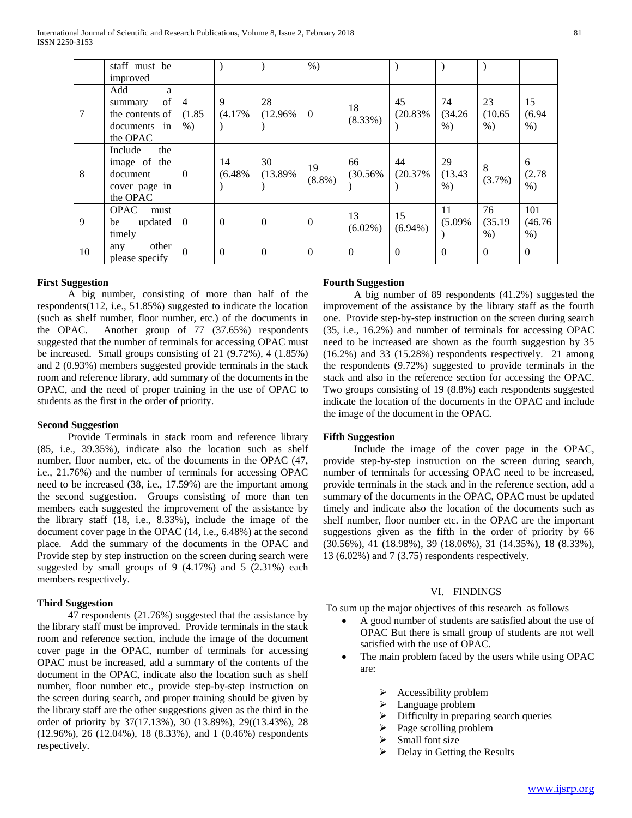|        | staff must be                                                           |                |              |                  | $%$ )           |                  |                  |                        |                        |                         |
|--------|-------------------------------------------------------------------------|----------------|--------------|------------------|-----------------|------------------|------------------|------------------------|------------------------|-------------------------|
|        | improved                                                                |                |              |                  |                 |                  |                  |                        |                        |                         |
| $\tau$ | Add<br>a<br>of<br>summary<br>the contents of                            | 4<br>(1.85)    | 9<br>(4.17%  | 28<br>$(12.96\%$ | $\theta$        | 18<br>(8.33%)    | 45<br>(20.83%    | 74<br>(34.26)          | 23<br>(10.65)          | 15<br>(6.94)            |
|        | documents in<br>the OPAC                                                | $\%$ )         |              |                  |                 |                  |                  | $%$ )                  | $\%$ )                 | $%$ )                   |
| 8      | Include<br>the<br>image of the<br>document<br>cover page in<br>the OPAC | $\theta$       | 14<br>(6.48% | 30<br>(13.89%    | 19<br>$(8.8\%)$ | 66<br>(30.56%    | 44<br>(20.37%    | 29<br>(13.43)<br>$%$ ) | 8<br>(3.7%)            | 6<br>(2.78)<br>$%$ )    |
| 9      | <b>OPAC</b><br>must<br>updated<br>be<br>timely                          | $\overline{0}$ | $\Omega$     | $\overline{0}$   | $\overline{0}$  | 13<br>$(6.02\%)$ | 15<br>$(6.94\%)$ | 11<br>(5.09%           | 76<br>(35.19)<br>$%$ ) | 101<br>(46.76)<br>$%$ ) |
| 10     | other<br>any<br>please specify                                          | $\Omega$       | $\Omega$     | $\theta$         | $\Omega$        | $\Omega$         | $\theta$         | $\Omega$               | $\theta$               | $\mathbf{0}$            |

## **First Suggestion**

 A big number, consisting of more than half of the respondents(112, i.e., 51.85%) suggested to indicate the location (such as shelf number, floor number, etc.) of the documents in the OPAC. Another group of 77 (37.65%) respondents suggested that the number of terminals for accessing OPAC must be increased. Small groups consisting of 21 (9.72%), 4 (1.85%) and 2 (0.93%) members suggested provide terminals in the stack room and reference library, add summary of the documents in the OPAC, and the need of proper training in the use of OPAC to students as the first in the order of priority.

## **Second Suggestion**

 Provide Terminals in stack room and reference library (85, i.e., 39.35%), indicate also the location such as shelf number, floor number, etc. of the documents in the OPAC (47, i.e., 21.76%) and the number of terminals for accessing OPAC need to be increased (38, i.e., 17.59%) are the important among the second suggestion. Groups consisting of more than ten members each suggested the improvement of the assistance by the library staff (18, i.e., 8.33%), include the image of the document cover page in the OPAC (14, i.e., 6.48%) at the second place. Add the summary of the documents in the OPAC and Provide step by step instruction on the screen during search were suggested by small groups of 9 (4.17%) and 5 (2.31%) each members respectively.

## **Third Suggestion**

 47 respondents (21.76%) suggested that the assistance by the library staff must be improved. Provide terminals in the stack room and reference section, include the image of the document cover page in the OPAC, number of terminals for accessing OPAC must be increased, add a summary of the contents of the document in the OPAC, indicate also the location such as shelf number, floor number etc., provide step-by-step instruction on the screen during search, and proper training should be given by the library staff are the other suggestions given as the third in the order of priority by 37(17.13%), 30 (13.89%), 29((13.43%), 28 (12.96%), 26 (12.04%), 18 (8.33%), and 1 (0.46%) respondents respectively.

#### **Fourth Suggestion**

 A big number of 89 respondents (41.2%) suggested the improvement of the assistance by the library staff as the fourth one. Provide step-by-step instruction on the screen during search (35, i.e., 16.2%) and number of terminals for accessing OPAC need to be increased are shown as the fourth suggestion by 35 (16.2%) and 33 (15.28%) respondents respectively. 21 among the respondents (9.72%) suggested to provide terminals in the stack and also in the reference section for accessing the OPAC. Two groups consisting of 19 (8.8%) each respondents suggested indicate the location of the documents in the OPAC and include the image of the document in the OPAC.

#### **Fifth Suggestion**

 Include the image of the cover page in the OPAC, provide step-by-step instruction on the screen during search, number of terminals for accessing OPAC need to be increased, provide terminals in the stack and in the reference section, add a summary of the documents in the OPAC, OPAC must be updated timely and indicate also the location of the documents such as shelf number, floor number etc. in the OPAC are the important suggestions given as the fifth in the order of priority by 66 (30.56%), 41 (18.98%), 39 (18.06%), 31 (14.35%), 18 (8.33%), 13 (6.02%) and 7 (3.75) respondents respectively.

## VI. FINDINGS

To sum up the major objectives of this research as follows

- A good number of students are satisfied about the use of OPAC But there is small group of students are not well satisfied with the use of OPAC.
- The main problem faced by the users while using OPAC are:
	- $\triangleright$  Accessibility problem
	- > Language problem
	- $\triangleright$  Difficulty in preparing search queries
	- $\triangleright$  Page scrolling problem
	- $\triangleright$  Small font size
	- $\triangleright$  Delay in Getting the Results